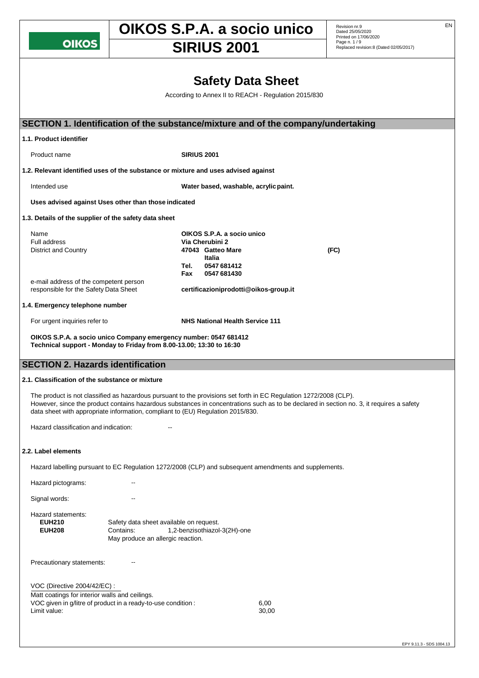**OIKOS** 

# **OIKOS S.P.A. a socio unico** Revision nr.9

**SIRIUS 2001** Page n. 1/9 **SIRIUS** 2001

Revision nr.9<br>Dated 25/05/2020 Printed on 17/06/2020<br>Page n. 1 / 9

# **Safety Data Sheet** According to Annex II to REACH - Regulation 2015/830 **SECTION 1. Identification of the substance/mixture and of the company/undertaking 1.1. Product identifier** Product name **SIRIUS 2001 1.2. Relevant identified uses of the substance or mixture and uses advised against**  Intended use **Water based, washable, acrylicpaint. Uses advised against Uses other than those indicated 1.3. Details of the supplier of the safety data sheet** Name **OIKOS S.P.A. a socio unico Via Cherubini 2** District and Country **47043 Gatteo Mare (FC) Italia Tel. 0547 681412 Fax 0547 681430** e-mail address of the competent person<br>responsible for the Safety Data Sheet responsible for the Safety Data Sheet **[certificazioniprodotti@oikos-group.it](mailto:certificazioniprodotti@oikos-group.it) 1.4. Emergency telephone number** For urgent inquiries refer to **NHS National Health Service 111 OIKOS S.P.A. a socio unico Company emergency number: 0547 681412 Technical support - Monday to Friday from 8.00-13.00; 13:30 to 16:30 SECTION 2. Hazards identification 2.1. Classification of the substance or mixture** The product is not classified as hazardous pursuant to the provisions set forth in EC Regulation 1272/2008 (CLP). However, since the product contains hazardous substances in concentrations such as to be declared in section no. 3, it requires a safety data sheet with appropriate information, compliant to (EU) Regulation 2015/830. Hazard classification and indication: **2.2. Label elements** Hazard labelling pursuant to EC Regulation 1272/2008 (CLP) and subsequent amendments and supplements. Hazard pictograms: Signal words: The Contract of the Signal words: Hazard statements: **EUH210** Safety data sheet available on request. **EUH208** Contains: 1,2-benzisothiazol-3(2H)-one May produce an allergic reaction. Precautionary statements: --VOC (Directive 2004/42/EC) : Matt coatings for interior walls and ceilings. VOC given in g/litre of product in a ready-to-use condition : 6,00 Limit value: 30,00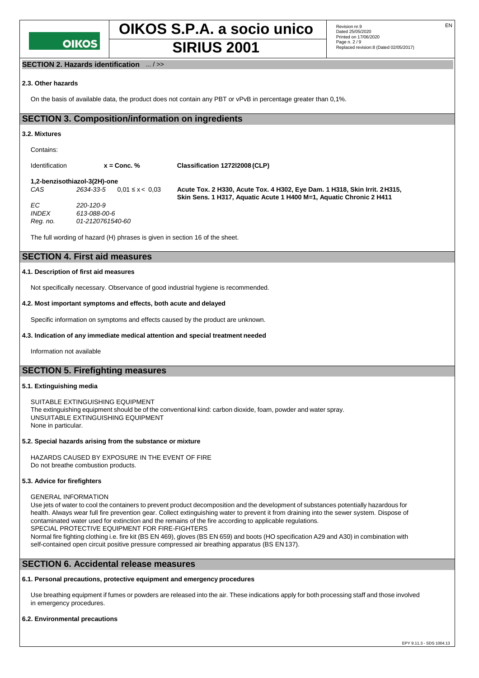

**OIKOS S.P.A. a socio unico** Revision nr.9

**SIRIUS 2001** Page n. 2/9 **SIRIUS** 2001

## **SECTION 2. Hazards identification** ... / >>

#### **2.3. Other hazards**

On the basis of available data, the product does not contain any PBT or vPvB in percentage greater than 0,1%.

## **SECTION 3. Composition/information on ingredients**

#### **3.2. Mixtures**

| Contains:      |                                  |                                                                                                                                                   |
|----------------|----------------------------------|---------------------------------------------------------------------------------------------------------------------------------------------------|
| Identification | $x =$ Conc. $%$                  | Classification 127212008 (CLP)                                                                                                                    |
|                | 1.2-benzisothiazol-3(2H)-one     |                                                                                                                                                   |
| CAS            | 2634-33-5<br>$0.01 \le x < 0.03$ | Acute Tox. 2 H330, Acute Tox. 4 H302, Eye Dam. 1 H318, Skin Irrit. 2 H315.<br>Skin Sens. 1 H317, Aquatic Acute 1 H400 M=1, Aquatic Chronic 2 H411 |

*EC 220-120-9 INDEX 613-088-00-6 Reg. no. 01-2120761540-60*

The full wording of hazard (H) phrases is given in section 16 of the sheet.

## **SECTION 4. First aid measures**

#### **4.1. Description of first aid measures**

Not specifically necessary. Observance of good industrial hygiene is recommended.

#### **4.2. Most important symptoms and effects, both acute and delayed**

Specific information on symptoms and effects caused by the product are unknown.

#### **4.3. Indication of any immediate medical attention and special treatment needed**

Information not available

## **SECTION 5. Firefighting measures**

#### **5.1. Extinguishing media**

SUITABLE EXTINGUISHING EQUIPMENT The extinguishing equipment should be of the conventional kind: carbon dioxide, foam, powder and water spray. UNSUITABLE EXTINGUISHING EQUIPMENT None in particular.

#### **5.2. Special hazards arising from the substance or mixture**

HAZARDS CAUSED BY EXPOSURE IN THE EVENT OF FIRE Do not breathe combustion products.

#### **5.3. Advice for firefighters**

#### GENERAL INFORMATION

Use jets of water to cool the containers to prevent product decomposition and the development of substances potentially hazardous for health. Always wear full fire prevention gear. Collect extinguishing water to prevent it from draining into the sewer system. Dispose of contaminated water used for extinction and the remains of the fire according to applicable regulations. SPECIAL PROTECTIVE EQUIPMENT FOR FIRE-FIGHTERS

Normal fire fighting clothing i.e. fire kit (BS EN 469), gloves (BS EN 659) and boots (HO specification A29 and A30) in combination with self-contained open circuit positive pressure compressed air breathing apparatus (BS EN 137).

## **SECTION 6. Accidental release measures**

#### **6.1. Personal precautions, protective equipment and emergency procedures**

Use breathing equipment if fumes or powders are released into the air. These indications apply for both processing staff and those involved in emergency procedures.

#### **6.2. Environmental precautions**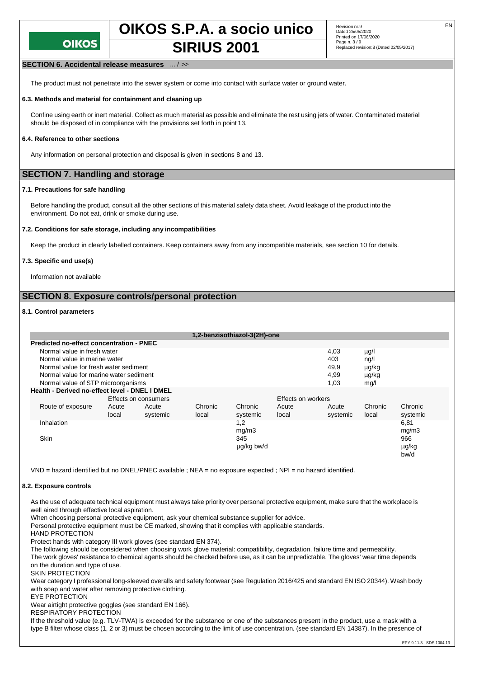**OIKOS S.P.A. a socio unico** Revision nr.9

# **SIRIUS 2001** Page n. 3/9 **SIRIUS** 2001

#### **SECTION 6. Accidental release measures** ... / >>

The product must not penetrate into the sewer system or come into contact with surface water or ground water.

#### **6.3. Methods and material for containment and cleaning up**

Confine using earth or inert material. Collect as much material as possible and eliminate the rest using jets of water. Contaminated material should be disposed of in compliance with the provisions set forth in point 13.

#### **6.4. Reference to other sections**

Any information on personal protection and disposal is given in sections 8 and 13.

## **SECTION 7. Handling and storage**

#### **7.1. Precautions for safe handling**

Before handling the product, consult all the other sections of this material safety data sheet. Avoid leakage of the product into the environment. Do not eat, drink or smoke during use.

#### **7.2. Conditions for safe storage, including any incompatibilities**

Keep the product in clearly labelled containers. Keep containers away from any incompatible materials, see section 10 for details.

#### **7.3. Specific end use(s)**

Information not available

## **SECTION 8. Exposure controls/personal protection**

### **8.1. Control parameters**

|                                        |                                                 |                      |          |         | 1,2-benzisothiazol-3(2H)-one |       |           |         |          |  |
|----------------------------------------|-------------------------------------------------|----------------------|----------|---------|------------------------------|-------|-----------|---------|----------|--|
|                                        | <b>Predicted no-effect concentration - PNEC</b> |                      |          |         |                              |       |           |         |          |  |
| Normal value in fresh water            |                                                 |                      |          |         |                              | 4,03  | $\mu$ g/l |         |          |  |
| Normal value in marine water           |                                                 |                      |          |         |                              | 403   | ng/l      |         |          |  |
| Normal value for fresh water sediment  |                                                 |                      |          |         |                              | 49,9  | µg/kg     |         |          |  |
| Normal value for marine water sediment |                                                 |                      |          |         |                              | 4,99  | µg/kg     |         |          |  |
|                                        | Normal value of STP microorganisms              |                      |          |         |                              |       | 1.03      | mq/1    |          |  |
|                                        | Health - Derived no-effect level - DNEL I DMEL  |                      |          |         |                              |       |           |         |          |  |
|                                        |                                                 | Effects on consumers |          |         | <b>Effects on workers</b>    |       |           |         |          |  |
|                                        | Route of exposure                               | Acute                | Acute    | Chronic | Chronic                      | Acute | Acute     | Chronic | Chronic  |  |
|                                        |                                                 | local                | systemic | local   | systemic                     | local | systemic  | local   | systemic |  |
|                                        | Inhalation                                      |                      |          |         | 1,2                          |       |           |         | 6,81     |  |
|                                        |                                                 |                      |          |         | mg/m3                        |       |           |         | mg/m3    |  |
|                                        | <b>Skin</b>                                     |                      |          |         | 345                          |       |           |         | 966      |  |
|                                        |                                                 |                      |          |         | ug/kg bw/d                   |       |           |         | µg/kg    |  |
|                                        |                                                 |                      |          |         |                              |       |           |         | bw/d     |  |

VND = hazard identified but no DNEL/PNEC available ; NEA = no exposure expected ; NPI = no hazard identified.

#### **8.2. Exposure controls**

As the use of adequate technical equipment must always take priority over personal protective equipment, make sure that the workplace is well aired through effective local aspiration.

When choosing personal protective equipment, ask your chemical substance supplier for advice.

Personal protective equipment must be CE marked, showing that it complies with applicable standards.

HAND PROTECTION

Protect hands with category III work gloves (see standard EN 374).

The following should be considered when choosing work glove material: compatibility, degradation, failure time and permeability. The work gloves' resistance to chemical agents should be checked before use, as it can be unpredictable. The gloves' wear time depends on the duration and type of use.

SKIN PROTECTION

Wear category I professional long-sleeved overalls and safety footwear (see Regulation 2016/425 and standard EN ISO 20344). Wash body with soap and water after removing protective clothing.

EYE PROTECTION

Wear airtight protective goggles (see standard EN 166).

RESPIRATORY PROTECTION

If the threshold value (e.g. TLV-TWA) is exceeded for the substance or one of the substances present in the product, use a mask with a type B filter whose class (1, 2 or 3) must be chosen according to the limit of use concentration. (see standard EN 14387). In the presence of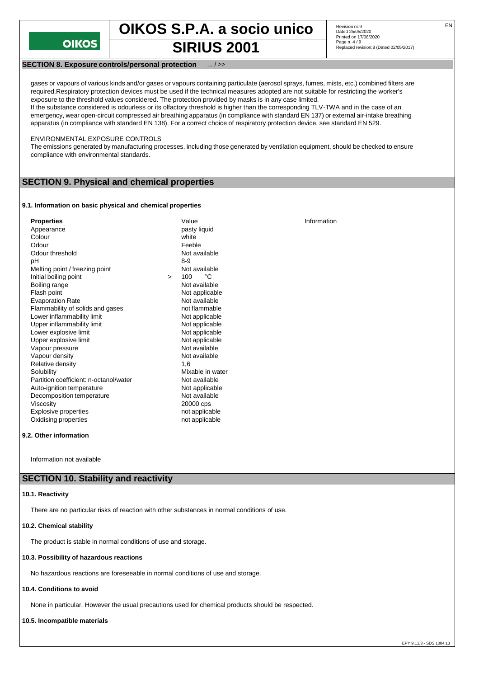

**OIKOS S.P.A. a socio unico** Revision nr.9 **SIRIUS 2001** Page n. 4/9 **SIRIUS** 2001

#### **SECTION 8. Exposure controls/personal protection**

gases or vapours of various kinds and/or gases or vapours containing particulate (aerosol sprays, fumes, mists, etc.) combined filters are required.Respiratory protection devices must be used if the technical measures adopted are not suitable for restricting the worker's exposure to the threshold values considered. The protection provided by masks is in any case limited. If the substance considered is odourless or its olfactory threshold is higher than the corresponding TLV-TWA and in the case of an emergency, wear open-circuit compressed air breathing apparatus (in compliance with standard EN 137) or external air-intake breathing apparatus (in compliance with standard EN 138). For a correct choice of respiratory protection device, see standard EN 529.

#### ENVIRONMENTAL EXPOSURE CONTROLS

The emissions generated by manufacturing processes, including those generated by ventilation equipment, should be checked to ensure compliance with environmental standards.

## **SECTION 9. Physical and chemical properties**

#### **9.1. Information on basic physical and chemical properties**

| <b>Properties</b>                      |        | Value            | Information |
|----------------------------------------|--------|------------------|-------------|
| Appearance                             |        | pasty liquid     |             |
| Colour                                 |        | white            |             |
| Odour                                  |        | Feeble           |             |
| Odour threshold                        |        | Not available    |             |
| рH                                     |        | $8-9$            |             |
| Melting point / freezing point         |        | Not available    |             |
| Initial boiling point                  | $\geq$ | °C<br>100        |             |
| Boiling range                          |        | Not available    |             |
| Flash point                            |        | Not applicable   |             |
| <b>Evaporation Rate</b>                |        | Not available    |             |
| Flammability of solids and gases       |        | not flammable    |             |
| Lower inflammability limit             |        | Not applicable   |             |
| Upper inflammability limit             |        | Not applicable   |             |
| Lower explosive limit                  |        | Not applicable   |             |
| Upper explosive limit                  |        | Not applicable   |             |
| Vapour pressure                        |        | Not available    |             |
| Vapour density                         |        | Not available    |             |
| Relative density                       |        | 1.6              |             |
| Solubility                             |        | Mixable in water |             |
| Partition coefficient: n-octanol/water |        | Not available    |             |
| Auto-ignition temperature              |        | Not applicable   |             |
| Decomposition temperature              |        | Not available    |             |
| Viscosity                              |        | 20000 cps        |             |
| <b>Explosive properties</b>            |        | not applicable   |             |
| Oxidising properties                   |        | not applicable   |             |

#### **9.2. Other information**

Information not available

#### **SECTION 10. Stability and reactivity**

#### **10.1. Reactivity**

There are no particular risks of reaction with other substances in normal conditions of use.

#### **10.2. Chemical stability**

The product is stable in normal conditions of use and storage.

#### **10.3. Possibility of hazardous reactions**

No hazardous reactions are foreseeable in normal conditions of use and storage.

#### **10.4. Conditions to avoid**

None in particular. However the usual precautions used for chemical products should be respected.

#### **10.5. Incompatible materials**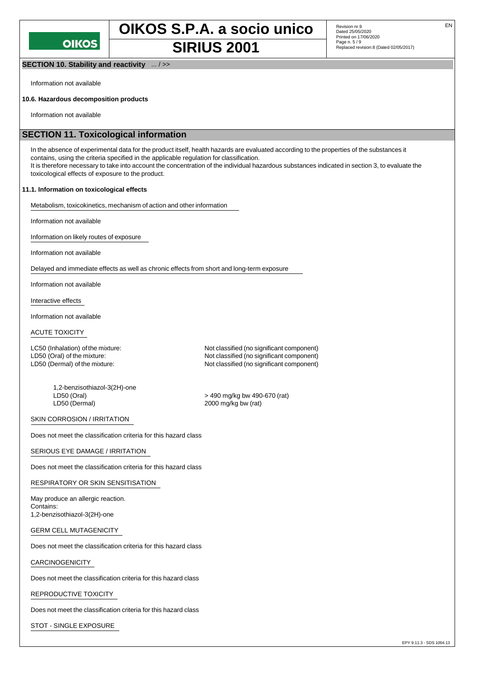**SECTION 10. Stability and reactivity** ... / >>

Information not available

#### **10.6. Hazardous decomposition products**

Information not available

## **SECTION 11. Toxicological information**

In the absence of experimental data for the product itself, health hazards are evaluated according to the properties of the substances it contains, using the criteria specified in the applicable regulation for classification. It is therefore necessary to take into account the concentration of the individual hazardous substances indicated in section 3, to evaluate the toxicological effects of exposure to the product.

#### **11.1. Information on toxicological effects**

Metabolism, toxicokinetics, mechanism of action and other information

Information not available

Information on likely routes of exposure

Information not available

Delayed and immediate effects as well as chronic effects from short and long-term exposure

Information not available

Interactive effects

Information not available

#### ACUTE TOXICITY

LC50 (Inhalation) of the mixture: Not classified (no significant component)

1,2-benzisothiazol-3(2H)-one LD50 (Oral) > 490 mg/kg bw 490-670 (rat) LD50 (Dermal) 2000 mg/kg bw (rat)

LD50 (Oral) of the mixture:  $\begin{array}{c} \text{LD50 (Oeral) of the mixture:} \\ \text{LD50 (Dermal) of the mixture:} \end{array}$ Not classified (no significant component)

SKIN CORROSION / IRRITATION

Does not meet the classification criteria for this hazard class

SERIOUS EYE DAMAGE / IRRITATION

Does not meet the classification criteria for this hazard class

#### RESPIRATORY OR SKIN SENSITISATION

May produce an allergic reaction. Contains: 1,2-benzisothiazol-3(2H)-one

GERM CELL MUTAGENICITY

Does not meet the classification criteria for this hazard class

#### CARCINOGENICITY

Does not meet the classification criteria for this hazard class

REPRODUCTIVE TOXICITY

Does not meet the classification criteria for this hazard class

STOT - SINGLE EXPOSURE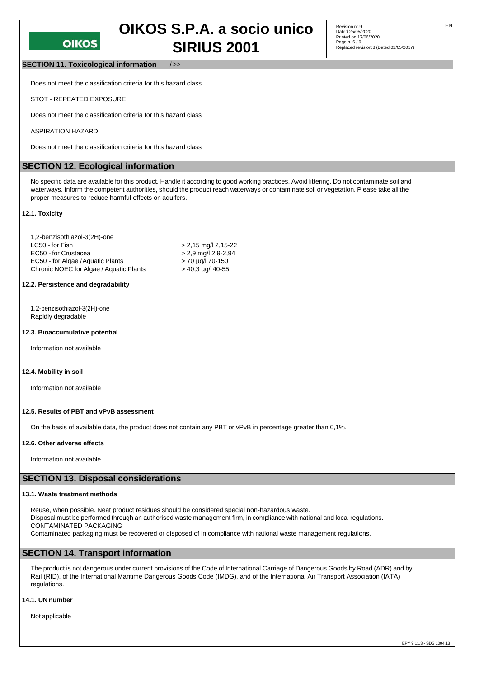## **SECTION 11. Toxicological information** ... / >>

Does not meet the classification criteria for this hazard class

#### STOT - REPEATED EXPOSURE

Does not meet the classification criteria for this hazard class

#### ASPIRATION HAZARD

Does not meet the classification criteria for this hazard class

## **SECTION 12. Ecological information**

No specific data are available for this product. Handle it according to good working practices. Avoid littering. Do not contaminate soil and waterways. Inform the competent authorities, should the product reach waterways or contaminate soil or vegetation. Please take all the proper measures to reduce harmful effects on aquifers.

#### **12.1. Toxicity**

| 1,2-benzisothiazol-3(2H)-one            |                          |
|-----------------------------------------|--------------------------|
| LC50 - for Fish                         | $> 2.15$ mg/l 2,15-22    |
| EC50 - for Crustacea                    | $> 2.9$ mg/l 2.9-2.94    |
| EC50 - for Algae / Aquatic Plants       | > 70 µg/l 70-150         |
| Chronic NOEC for Algae / Aquatic Plants | $>$ 40.3 $\mu$ g/l 40-55 |

## **12.2. Persistence and degradability**

1,2-benzisothiazol-3(2H)-one Rapidly degradable

#### **12.3. Bioaccumulative potential**

Information not available

#### **12.4. Mobility in soil**

Information not available

#### **12.5. Results of PBT and vPvB assessment**

On the basis of available data, the product does not contain any PBT or vPvB in percentage greater than 0,1%.

#### **12.6. Other adverse effects**

Information not available

#### **SECTION 13. Disposal considerations**

#### **13.1. Waste treatment methods**

Reuse, when possible. Neat product residues should be considered special non-hazardous waste. Disposal must be performed through an authorised waste management firm, in compliance with national and local regulations. CONTAMINATED PACKAGING Contaminated packaging must be recovered or disposed of in compliance with national waste management regulations.

## **SECTION 14. Transport information**

The product is not dangerous under current provisions of the Code of International Carriage of Dangerous Goods by Road (ADR) and by Rail (RID), of the International Maritime Dangerous Goods Code (IMDG), and of the International Air Transport Association (IATA) regulations.

#### **14.1. UN number**

Not applicable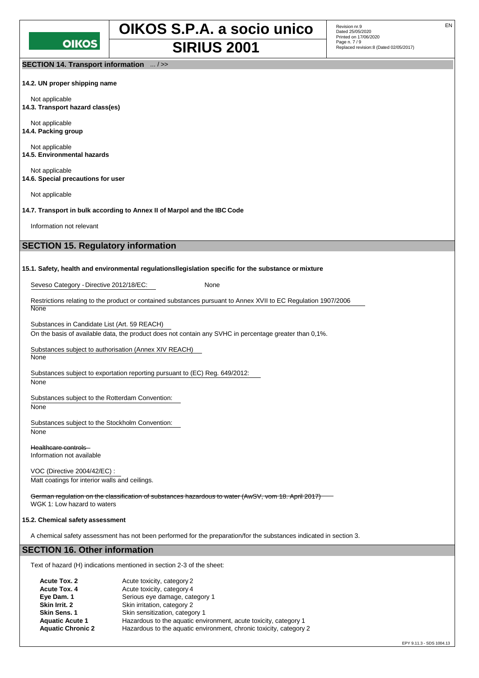

Revision nr.9<br>Dated 25/05/2020 Printed on 17/06/2020<br>Page n. 7 / 9

**SECTION 14. Transport information** ... / >>

**14.2. UN proper shipping name**

Not applicable **14.3. Transport hazard class(es)**

Not applicable **14.4. Packing group**

Not applicable **14.5. Environmental hazards**

Not applicable **14.6. Special precautions for user**

Not applicable

**14.7. Transport in bulk according to Annex II of Marpol and the IBC Code**

Information not relevant

## **SECTION 15. Regulatory information**

#### **15.1. Safety, health and environmental regulationsllegislation specific for the substance or mixture**

Seveso Category - Directive 2012/18/EC: None

Restrictions relating to the product or contained substances pursuant to Annex XVII to EC Regulation 1907/2006 **None** 

Substances in Candidate List (Art. 59 REACH)

On the basis of available data, the product does not contain any SVHC in percentage greater than 0,1%.

Substances subject to authorisation (Annex XIV REACH) None

Substances subject to exportation reporting pursuant to (EC) Reg. 649/2012:

## None

Substances subject to the Rotterdam Convention:

None

Substances subject to the Stockholm Convention:

None

Healthcare controls Information not available

VOC (Directive 2004/42/EC) : Matt coatings for interior walls and ceilings.

German regulation on the classification of substances hazardous to water (AwSV, vom 18. April 2017) WGK 1: Low hazard to waters

### **15.2. Chemical safety assessment**

A chemical safety assessment has not been performed for the preparation/for the substances indicated in section 3.

## **SECTION 16. Other information**

Text of hazard (H) indications mentioned in section 2-3 of the sheet:

| Acute Tox. 2             | Acute toxicity, category 2                                         |
|--------------------------|--------------------------------------------------------------------|
| Acute Tox. 4             | Acute toxicity, category 4                                         |
| Eye Dam. 1               | Serious eye damage, category 1                                     |
| Skin Irrit. 2            | Skin irritation, category 2                                        |
| Skin Sens. 1             | Skin sensitization, category 1                                     |
| <b>Aquatic Acute 1</b>   | Hazardous to the aquatic environment, acute toxicity, category 1   |
| <b>Aquatic Chronic 2</b> | Hazardous to the aquatic environment, chronic toxicity, category 2 |
|                          |                                                                    |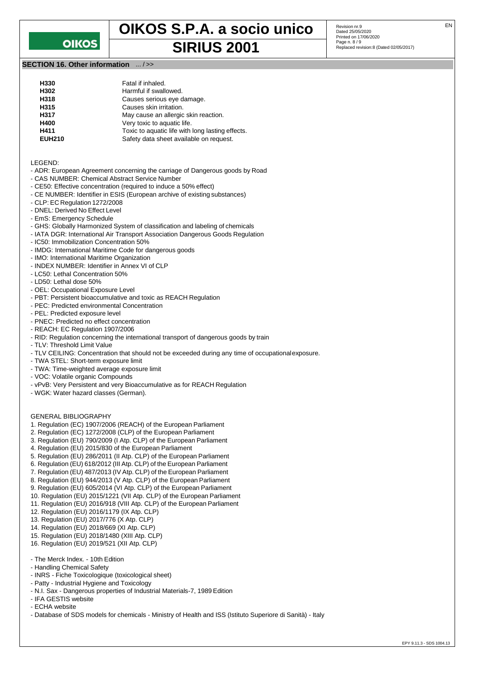## **OIKOS**

**OIKOS S.P.A. a socio unico** Revision nr.9 **SIRIUS 2001** Page n. 8/9 **SIRIUS** 

**SECTION 16. Other information** ... / >>

| H330          | Fatal if inhaled.                                |
|---------------|--------------------------------------------------|
| H302          | Harmful if swallowed.                            |
| H318          | Causes serious eye damage.                       |
| H315          | Causes skin irritation.                          |
| H317          | May cause an allergic skin reaction.             |
| H400          | Very toxic to aquatic life.                      |
| H411          | Toxic to aquatic life with long lasting effects. |
| <b>EUH210</b> | Safety data sheet available on request.          |
|               |                                                  |

LEGEND:

- ADR: European Agreement concerning the carriage of Dangerous goods by Road
- CAS NUMBER: Chemical Abstract Service Number
- CE50: Effective concentration (required to induce a 50% effect)
- CE NUMBER: Identifier in ESIS (European archive of existing substances)
- CLP: EC Regulation 1272/2008
- DNEL: Derived No Effect Level
- EmS: Emergency Schedule
- GHS: Globally Harmonized System of classification and labeling of chemicals
- IATA DGR: International Air Transport Association Dangerous Goods Regulation
- IC50: Immobilization Concentration 50%
- IMDG: International Maritime Code for dangerous goods
- IMO: International Maritime Organization
- INDEX NUMBER: Identifier in Annex VI of CLP
- LC50: Lethal Concentration 50%
- LD50: Lethal dose 50%
- OEL: Occupational Exposure Level
- PBT: Persistent bioaccumulative and toxic as REACH Regulation
- PEC: Predicted environmental Concentration
- PEL: Predicted exposure level
- PNEC: Predicted no effect concentration
- REACH: EC Regulation 1907/2006
- RID: Regulation concerning the international transport of dangerous goods by train
- TLV: Threshold Limit Value
- TLV CEILING: Concentration that should not be exceeded during any time of occupationalexposure.
- TWA STEL: Short-term exposure limit
- TWA: Time-weighted average exposure limit
- VOC: Volatile organic Compounds
- vPvB: Very Persistent and very Bioaccumulative as for REACH Regulation
- WGK: Water hazard classes (German).

#### GENERAL BIBLIOGRAPHY

- 1. Regulation (EC) 1907/2006 (REACH) of the European Parliament
- 2. Regulation (EC) 1272/2008 (CLP) of the European Parliament
- 3. Regulation (EU) 790/2009 (I Atp. CLP) of the European Parliament
- 4. Regulation (EU) 2015/830 of the European Parliament
- 5. Regulation (EU) 286/2011 (II Atp. CLP) of the European Parliament
- 6. Regulation (EU) 618/2012 (III Atp. CLP) of the European Parliament
- 7. Regulation (EU) 487/2013 (IV Atp. CLP) of the European Parliament
- 8. Regulation (EU) 944/2013 (V Atp. CLP) of the European Parliament
- 9. Regulation (EU) 605/2014 (VI Atp. CLP) of the European Parliament
- 10. Regulation (EU) 2015/1221 (VII Atp. CLP) of the European Parliament
- 11. Regulation (EU) 2016/918 (VIII Atp. CLP) of the European Parliament
- 12. Regulation (EU) 2016/1179 (IX Atp. CLP)
- 13. Regulation (EU) 2017/776 (X Atp. CLP)
- 14. Regulation (EU) 2018/669 (XI Atp. CLP)
- 15. Regulation (EU) 2018/1480 (XIII Atp. CLP)
- 16. Regulation (EU) 2019/521 (XII Atp. CLP)
- 
- The Merck Index. 10th Edition
- Handling Chemical Safety
- INRS Fiche Toxicologique (toxicological sheet)
- Patty Industrial Hygiene and Toxicology
- N.I. Sax Dangerous properties of Industrial Materials-7, 1989 Edition
- IFA GESTIS website
- ECHA website
- Database of SDS models for chemicals Ministry of Health and ISS (Istituto Superiore di Sanità) Italy

Revision nr.9<br>Dated 25/05/2020 Printed on 17/06/2020<br>Page n. 8 / 9